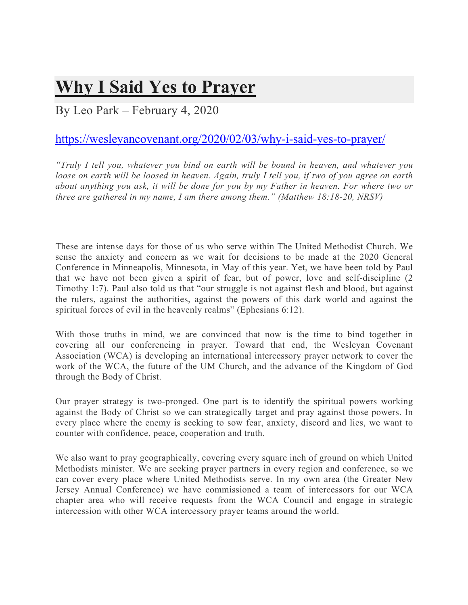## **Why I Said Yes to Prayer**

## By Leo Park – February 4, 2020

## https://wesleyancovenant.org/2020/02/03/why-i-said-yes-to-prayer/

*"Truly I tell you, whatever you bind on earth will be bound in heaven, and whatever you loose on earth will be loosed in heaven. Again, truly I tell you, if two of you agree on earth about anything you ask, it will be done for you by my Father in heaven. For where two or three are gathered in my name, I am there among them." (Matthew 18:18-20, NRSV)*

These are intense days for those of us who serve within The United Methodist Church. We sense the anxiety and concern as we wait for decisions to be made at the 2020 General Conference in Minneapolis, Minnesota, in May of this year. Yet, we have been told by Paul that we have not been given a spirit of fear, but of power, love and self-discipline (2 Timothy 1:7). Paul also told us that "our struggle is not against flesh and blood, but against the rulers, against the authorities, against the powers of this dark world and against the spiritual forces of evil in the heavenly realms" (Ephesians 6:12).

With those truths in mind, we are convinced that now is the time to bind together in covering all our conferencing in prayer. Toward that end, the Wesleyan Covenant Association (WCA) is developing an international intercessory prayer network to cover the work of the WCA, the future of the UM Church, and the advance of the Kingdom of God through the Body of Christ.

Our prayer strategy is two-pronged. One part is to identify the spiritual powers working against the Body of Christ so we can strategically target and pray against those powers. In every place where the enemy is seeking to sow fear, anxiety, discord and lies, we want to counter with confidence, peace, cooperation and truth.

We also want to pray geographically, covering every square inch of ground on which United Methodists minister. We are seeking prayer partners in every region and conference, so we can cover every place where United Methodists serve. In my own area (the Greater New Jersey Annual Conference) we have commissioned a team of intercessors for our WCA chapter area who will receive requests from the WCA Council and engage in strategic intercession with other WCA intercessory prayer teams around the world.